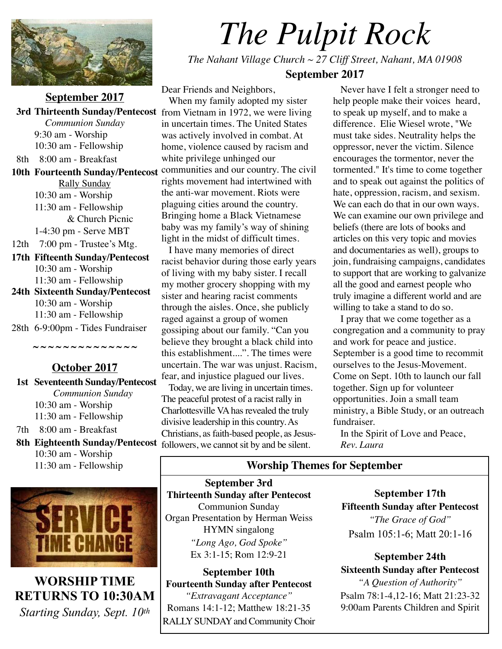

**September 2017** *Communion Sunday* 9:30 am - Worship 10:30 am - Fellowship 8th 8:00 am - Breakfast **10th Fourteenth Sunday/Pentecost**  Rally Sunday 10:30 am - Worship 11:30 am - Fellowship & Church Picnic 1-4:30 pm - Serve MBT 12th 7:00 pm - Trustee's Mtg. **17th Fifteenth Sunday/Pentecost**  10:30 am - Worship 11:30 am - Fellowship **24th Sixteenth Sunday/Pentecost**  10:30 am - Worship 11:30 am - Fellowship 28th 6-9:00pm - Tides Fundraiser

**~ ~ ~ ~ ~ ~ ~ ~ ~ ~ ~ ~ ~ ~** 

**October 2017 1st Seventeenth Sunday/Pentecost** *Communion Sunday* 10:30 am - Worship 11:30 am - Fellowship 7th 8:00 am - Breakfast 8th Eighteenth Sunday/Pentecost followers, we cannot sit by and be silent.

10:30 am - Worship 11:30 am - Fellowship



**WORSHIP TIME RETURNS TO 10:30AM** *Starting Sunday, Sept. 10th*

# *The Pulpit Rock*

*The Nahant Village Church ~ 27 Cliff Street, Nahant, MA 01908* 

**September 2017**

 **3rd Thirteenth Sunday/Pentecost**  from Vietnam in 1972, we were living Dear Friends and Neighbors, When my family adopted my sister in uncertain times. The United States was actively involved in combat. At home, violence caused by racism and white privilege unhinged our communities and our country. The civil rights movement had intertwined with the anti-war movement. Riots were plaguing cities around the country. Bringing home a Black Vietnamese baby was my family's way of shining light in the midst of difficult times.

 I have many memories of direct racist behavior during those early years of living with my baby sister. I recall my mother grocery shopping with my sister and hearing racist comments through the aisles. Once, she publicly raged against a group of women gossiping about our family. "Can you believe they brought a black child into this establishment....". The times were uncertain. The war was unjust. Racism, fear, and injustice plagued our lives.

 Today, we are living in uncertain times. The peaceful protest of a racist rally in Charlottesville VA has revealed the truly divisive leadership in this country. As Christians, as faith-based people, as Jesus-

 Never have I felt a stronger need to help people make their voices heard, to speak up myself, and to make a difference. Elie Wiesel wrote, "We must take sides. Neutrality helps the oppressor, never the victim. Silence encourages the tormentor, never the tormented." It's time to come together and to speak out against the politics of hate, oppression, racism, and sexism. We can each do that in our own ways. We can examine our own privilege and beliefs (there are lots of books and articles on this very topic and movies and documentaries as well), groups to join, fundraising campaigns, candidates to support that are working to galvanize all the good and earnest people who truly imagine a different world and are willing to take a stand to do so.

 I pray that we come together as a congregation and a community to pray and work for peace and justice. September is a good time to recommit ourselves to the Jesus-Movement. Come on Sept. 10th to launch our fall together. Sign up for volunteer opportunities. Join a small team ministry, a Bible Study, or an outreach fundraiser.

 In the Spirit of Love and Peace,  *Rev. Laura*

# **Worship Themes for September**

**September 3rd Thirteenth Sunday after Pentecost**  Communion Sunday Organ Presentation by Herman Weiss HYMN singalong *"Long Ago, God Spoke"*  Ex 3:1-15; Rom 12:9-21

**September 10th Fourteenth Sunday after Pentecost** *"Extravagant Acceptance"*  Romans 14:1-12; Matthew 18:21-35 RALLY SUNDAY and Community Choir

**September 17th Fifteenth Sunday after Pentecost** *"The Grace of God"*  Psalm 105:1-6; Matt 20:1-16

**September 24th Sixteenth Sunday after Pentecost**

*"A Question of Authority"*  Psalm 78:1-4,12-16; Matt 21:23-32 9:00am Parents Children and Spirit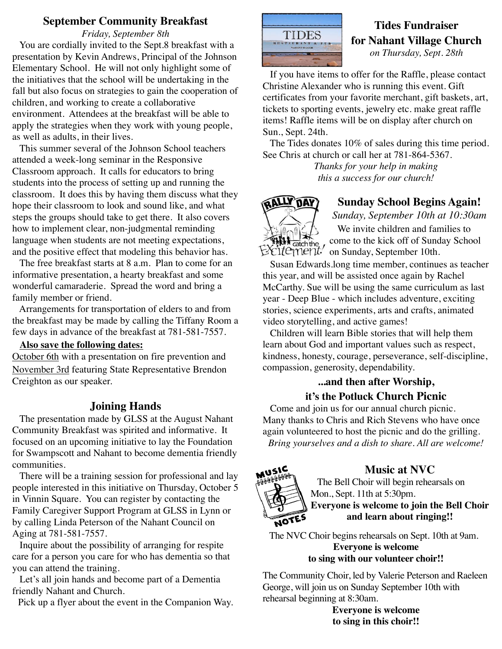### **September Community Breakfast**

*Friday, September 8th* 

 You are cordially invited to the Sept.8 breakfast with a presentation by Kevin Andrews, Principal of the Johnson Elementary School. He will not only highlight some of the initiatives that the school will be undertaking in the fall but also focus on strategies to gain the cooperation of children, and working to create a collaborative environment. Attendees at the breakfast will be able to apply the strategies when they work with young people, as well as adults, in their lives.

 This summer several of the Johnson School teachers attended a week-long seminar in the Responsive Classroom approach. It calls for educators to bring students into the process of setting up and running the classroom. It does this by having them discuss what they hope their classroom to look and sound like, and what steps the groups should take to get there. It also covers how to implement clear, non-judgmental reminding language when students are not meeting expectations, and the positive effect that modeling this behavior has.

 The free breakfast starts at 8 a.m. Plan to come for an informative presentation, a hearty breakfast and some wonderful camaraderie. Spread the word and bring a family member or friend.

 Arrangements for transportation of elders to and from the breakfast may be made by calling the Tiffany Room a few days in advance of the breakfast at 781-581-7557.

#### **Also save the following dates:**

October 6th with a presentation on fire prevention and November 3rd featuring State Representative Brendon Creighton as our speaker.

# **Joining Hands**

 The presentation made by GLSS at the August Nahant Community Breakfast was spirited and informative. It focused on an upcoming initiative to lay the Foundation for Swampscott and Nahant to become dementia friendly communities.

 There will be a training session for professional and lay people interested in this initiative on Thursday, October 5 in Vinnin Square. You can register by contacting the Family Caregiver Support Program at GLSS in Lynn or by calling Linda Peterson of the Nahant Council on Aging at 781-581-7557.

 Inquire about the possibility of arranging for respite care for a person you care for who has dementia so that you can attend the training.

 Let's all join hands and become part of a Dementia friendly Nahant and Church.

Pick up a flyer about the event in the Companion Way.



# **Tides Fundraiser for Nahant Village Church**  *on Thursday, Sept. 28th*

 If you have items to offer for the Raffle, please contact Christine Alexander who is running this event. Gift certificates from your favorite merchant, gift baskets, art, tickets to sporting events, jewelry etc. make great raffle items! Raffle items will be on display after church on Sun., Sept. 24th.

 The Tides donates 10% of sales during this time period. See Chris at church or call her at 781-864-5367.

*Thanks for your help in making this a success for our church!* 



# **Sunday School Begins Again!**

*Sunday, September 10th at 10:30am*  We invite children and families to come to the kick off of Sunday School on Sunday, September 10th.

 Susan Edwards.long time member, continues as teacher this year, and will be assisted once again by Rachel McCarthy. Sue will be using the same curriculum as last year - Deep Blue - which includes adventure, exciting stories, science experiments, arts and crafts, animated video storytelling, and active games!

 Children will learn Bible stories that will help them learn about God and important values such as respect, kindness, honesty, courage, perseverance, self-discipline, compassion, generosity, dependability.

# **...and then after Worship, it's the Potluck Church Picnic**

 Come and join us for our annual church picnic. Many thanks to Chris and Rich Stevens who have once again volunteered to host the picnic and do the grilling. *Bring yourselves and a dish to share. All are welcome!*



# **Music at NVC**

 The Bell Choir will begin rehearsals on Mon., Sept. 11th at 5:30pm. **Everyone is welcome to join the Bell Choir and learn about ringing!!** 

 The NVC Choir begins rehearsals on Sept. 10th at 9am. **Everyone is welcome to sing with our volunteer choir!!** 

The Community Choir, led by Valerie Peterson and Raeleen George, will join us on Sunday September 10th with rehearsal beginning at 8:30am.

> **Everyone is welcome to sing in this choir!!**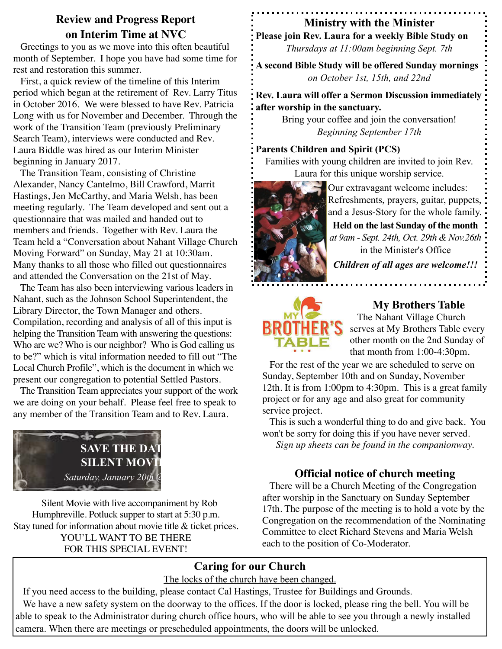# **Review and Progress Report on Interim Time at NVC**

 Greetings to you as we move into this often beautiful month of September. I hope you have had some time for rest and restoration this summer.

 First, a quick review of the timeline of this Interim period which began at the retirement of Rev. Larry Titus in October 2016. We were blessed to have Rev. Patricia Long with us for November and December. Through the work of the Transition Team (previously Preliminary Search Team), interviews were conducted and Rev. Laura Biddle was hired as our Interim Minister beginning in January 2017.

 The Transition Team, consisting of Christine Alexander, Nancy Cantelmo, Bill Crawford, Marrit Hastings, Jen McCarthy, and Maria Welsh, has been meeting regularly. The Team developed and sent out a questionnaire that was mailed and handed out to members and friends. Together with Rev. Laura the Team held a "Conversation about Nahant Village Church Moving Forward" on Sunday, May 21 at 10:30am. Many thanks to all those who filled out questionnaires and attended the Conversation on the 21st of May.

 The Team has also been interviewing various leaders in Nahant, such as the Johnson School Superintendent, the Library Director, the Town Manager and others. Compilation, recording and analysis of all of this input is helping the Transition Team with answering the questions: Who are we? Who is our neighbor? Who is God calling us to be?" which is vital information needed to fill out "The Local Church Profile", which is the document in which we present our congregation to potential Settled Pastors.

 The Transition Team appreciates your support of the work we are doing on your behalf. Please feel free to speak to any member of the Transition Team and to Rev. Laura.



 Silent Movie with live accompaniment by Rob Humphreville. Potluck supper to start at 5:30 p.m. Stay tuned for information about movie title & ticket prices. YOU'LL WANT TO BE THERE FOR THIS SPECIAL EVENT!

# **Ministry with the Minister**

**Please join Rev. Laura for a weekly Bible Study on** *Thursdays at 11:00am beginning Sept. 7th*

**A second Bible Study will be offered Sunday mornings** *on October 1st, 15th, and 22nd*

**Rev. Laura will offer a Sermon Discussion immediately after worship in the sanctuary.** 

> Bring your coffee and join the conversation! *Beginning September 17th*

#### **Parents Children and Spirit (PCS)**

Families with young children are invited to join Rev. Laura for this unique worship service.



Our extravagant welcome includes: Refreshments, prayers, guitar, puppets, and a Jesus-Story for the whole family. **Held on the last Sunday of the month** *at 9am - Sept. 24th, Oct. 29th & Nov.26th* in the Minister's Office

*Children of all ages are welcome!!!*



# **My Brothers Table**

 The Nahant Village Church serves at My Brothers Table every other month on the 2nd Sunday of that month from 1:00-4:30pm.

 For the rest of the year we are scheduled to serve on Sunday, September 10th and on Sunday, November 12th. It is from 1:00pm to 4:30pm. This is a great family project or for any age and also great for community service project.

 This is such a wonderful thing to do and give back. You won't be sorry for doing this if you have never served. *Sign up sheets can be found in the companionway.* 

# **Official notice of church meeting**

 There will be a Church Meeting of the Congregation after worship in the Sanctuary on Sunday September 17th. The purpose of the meeting is to hold a vote by the Congregation on the recommendation of the Nominating Committee to elect Richard Stevens and Maria Welsh each to the position of Co-Moderator.

# **Caring for our Church**

The locks of the church have been changed.

 If you need access to the building, please contact Cal Hastings, Trustee for Buildings and Grounds. We have a new safety system on the doorway to the offices. If the door is locked, please ring the bell. You will be able to speak to the Administrator during church office hours, who will be able to see you through a newly installed camera. When there are meetings or prescheduled appointments, the doors will be unlocked.